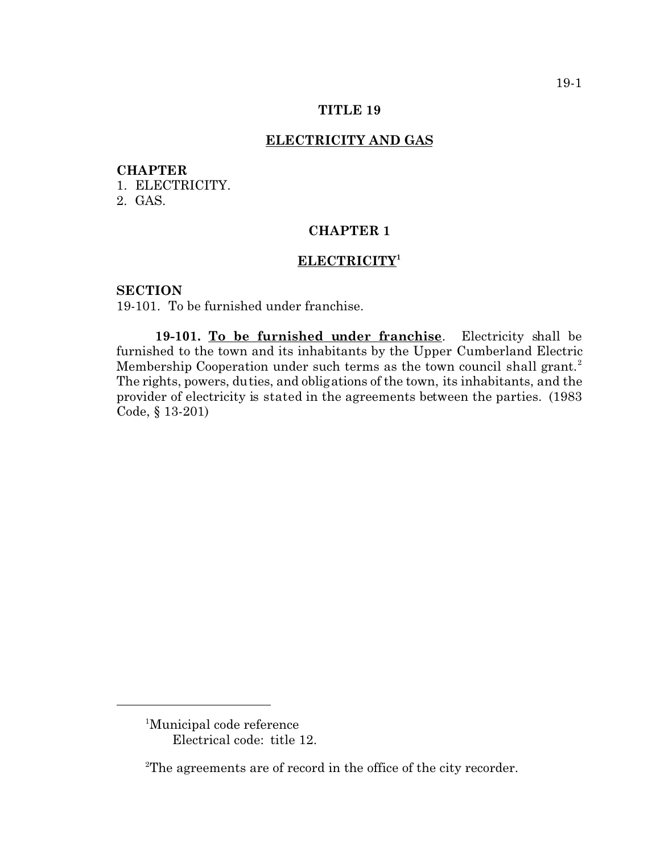#### **TITLE 19**

## **ELECTRICITY AND GAS**

#### **CHAPTER**

1. ELECTRICITY.

2. GAS.

### **CHAPTER 1**

### **ELECTRICITY<sup>1</sup>**

### **SECTION**

19-101. To be furnished under franchise.

**19-101. To be furnished under franchise**. Electricity shall be furnished to the town and its inhabitants by the Upper Cumberland Electric Membership Cooperation under such terms as the town council shall grant.<sup>2</sup> The rights, powers, duties, and obligations of the town, its inhabitants, and the provider of electricity is stated in the agreements between the parties. (1983 Code, § 13-201)

<sup>1</sup>Municipal code reference Electrical code: title 12.

<sup>2</sup>The agreements are of record in the office of the city recorder.